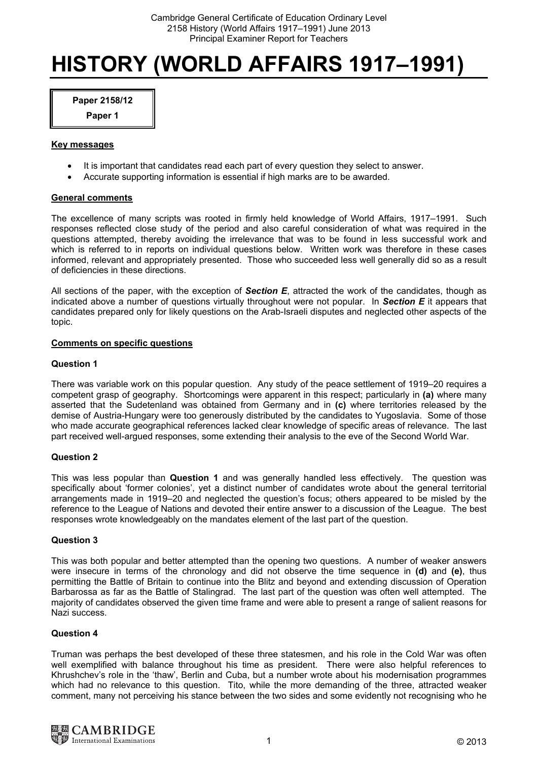# **HISTORY (WORLD AFFAIRS 1917–1991)**

**Paper 2158/12** 

# **Paper 1**

## **Key messages**

- It is important that candidates read each part of every question they select to answer.
- Accurate supporting information is essential if high marks are to be awarded.

# **General comments**

The excellence of many scripts was rooted in firmly held knowledge of World Affairs, 1917–1991. Such responses reflected close study of the period and also careful consideration of what was required in the questions attempted, thereby avoiding the irrelevance that was to be found in less successful work and which is referred to in reports on individual questions below. Written work was therefore in these cases informed, relevant and appropriately presented. Those who succeeded less well generally did so as a result of deficiencies in these directions.

All sections of the paper, with the exception of *Section E*, attracted the work of the candidates, though as indicated above a number of questions virtually throughout were not popular. In *Section E* it appears that candidates prepared only for likely questions on the Arab-Israeli disputes and neglected other aspects of the topic.

## **Comments on specific questions**

## **Question 1**

There was variable work on this popular question. Any study of the peace settlement of 1919–20 requires a competent grasp of geography. Shortcomings were apparent in this respect; particularly in **(a)** where many asserted that the Sudetenland was obtained from Germany and in **(c)** where territories released by the demise of Austria-Hungary were too generously distributed by the candidates to Yugoslavia. Some of those who made accurate geographical references lacked clear knowledge of specific areas of relevance. The last part received well-argued responses, some extending their analysis to the eve of the Second World War.

# **Question 2**

This was less popular than **Question 1** and was generally handled less effectively. The question was specifically about 'former colonies', yet a distinct number of candidates wrote about the general territorial arrangements made in 1919–20 and neglected the question's focus; others appeared to be misled by the reference to the League of Nations and devoted their entire answer to a discussion of the League. The best responses wrote knowledgeably on the mandates element of the last part of the question.

#### **Question 3**

This was both popular and better attempted than the opening two questions. A number of weaker answers were insecure in terms of the chronology and did not observe the time sequence in **(d)** and **(e)**, thus permitting the Battle of Britain to continue into the Blitz and beyond and extending discussion of Operation Barbarossa as far as the Battle of Stalingrad. The last part of the question was often well attempted. The majority of candidates observed the given time frame and were able to present a range of salient reasons for Nazi success.

#### **Question 4**

Truman was perhaps the best developed of these three statesmen, and his role in the Cold War was often well exemplified with balance throughout his time as president. There were also helpful references to Khrushchev's role in the 'thaw', Berlin and Cuba, but a number wrote about his modernisation programmes which had no relevance to this question. Tito, while the more demanding of the three, attracted weaker comment, many not perceiving his stance between the two sides and some evidently not recognising who he

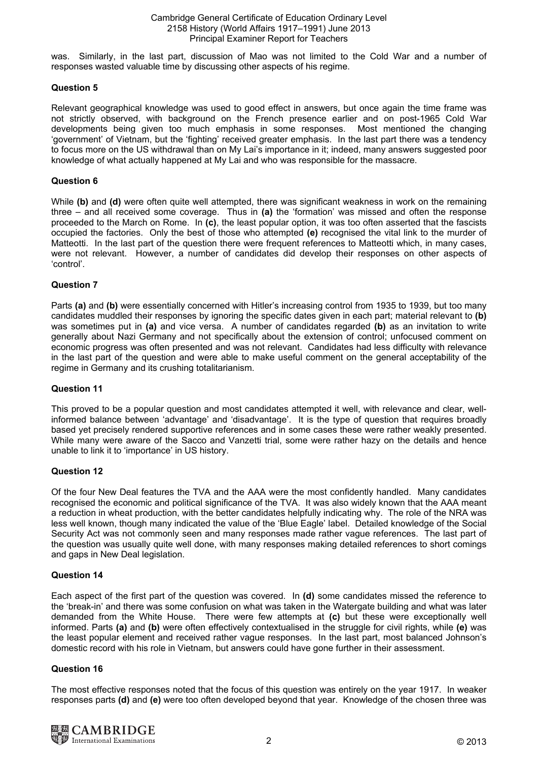was. Similarly, in the last part, discussion of Mao was not limited to the Cold War and a number of responses wasted valuable time by discussing other aspects of his regime.

# **Question 5**

Relevant geographical knowledge was used to good effect in answers, but once again the time frame was not strictly observed, with background on the French presence earlier and on post-1965 Cold War developments being given too much emphasis in some responses. Most mentioned the changing 'government' of Vietnam, but the 'fighting' received greater emphasis. In the last part there was a tendency to focus more on the US withdrawal than on My Lai's importance in it; indeed, many answers suggested poor knowledge of what actually happened at My Lai and who was responsible for the massacre.

# **Question 6**

While **(b)** and **(d)** were often quite well attempted, there was significant weakness in work on the remaining three – and all received some coverage. Thus in **(a)** the 'formation' was missed and often the response proceeded to the March on Rome. In **(c)**, the least popular option, it was too often asserted that the fascists occupied the factories. Only the best of those who attempted **(e)** recognised the vital link to the murder of Matteotti. In the last part of the question there were frequent references to Matteotti which, in many cases, were not relevant. However, a number of candidates did develop their responses on other aspects of 'control'.

# **Question 7**

Parts **(a)** and **(b)** were essentially concerned with Hitler's increasing control from 1935 to 1939, but too many candidates muddled their responses by ignoring the specific dates given in each part; material relevant to **(b)** was sometimes put in **(a)** and vice versa. A number of candidates regarded **(b)** as an invitation to write generally about Nazi Germany and not specifically about the extension of control; unfocused comment on economic progress was often presented and was not relevant. Candidates had less difficulty with relevance in the last part of the question and were able to make useful comment on the general acceptability of the regime in Germany and its crushing totalitarianism.

# **Question 11**

This proved to be a popular question and most candidates attempted it well, with relevance and clear, wellinformed balance between 'advantage' and 'disadvantage'. It is the type of question that requires broadly based yet precisely rendered supportive references and in some cases these were rather weakly presented. While many were aware of the Sacco and Vanzetti trial, some were rather hazy on the details and hence unable to link it to 'importance' in US history.

# **Question 12**

Of the four New Deal features the TVA and the AAA were the most confidently handled. Many candidates recognised the economic and political significance of the TVA. It was also widely known that the AAA meant a reduction in wheat production, with the better candidates helpfully indicating why. The role of the NRA was less well known, though many indicated the value of the 'Blue Eagle' label. Detailed knowledge of the Social Security Act was not commonly seen and many responses made rather vague references. The last part of the question was usually quite well done, with many responses making detailed references to short comings and gaps in New Deal legislation.

# **Question 14**

Each aspect of the first part of the question was covered. In **(d)** some candidates missed the reference to the 'break-in' and there was some confusion on what was taken in the Watergate building and what was later demanded from the White House. There were few attempts at **(c)** but these were exceptionally well informed. Parts **(a)** and **(b)** were often effectively contextualised in the struggle for civil rights, while **(e)** was the least popular element and received rather vague responses. In the last part, most balanced Johnson's domestic record with his role in Vietnam, but answers could have gone further in their assessment.

# **Question 16**

The most effective responses noted that the focus of this question was entirely on the year 1917. In weaker responses parts **(d)** and **(e)** were too often developed beyond that year. Knowledge of the chosen three was

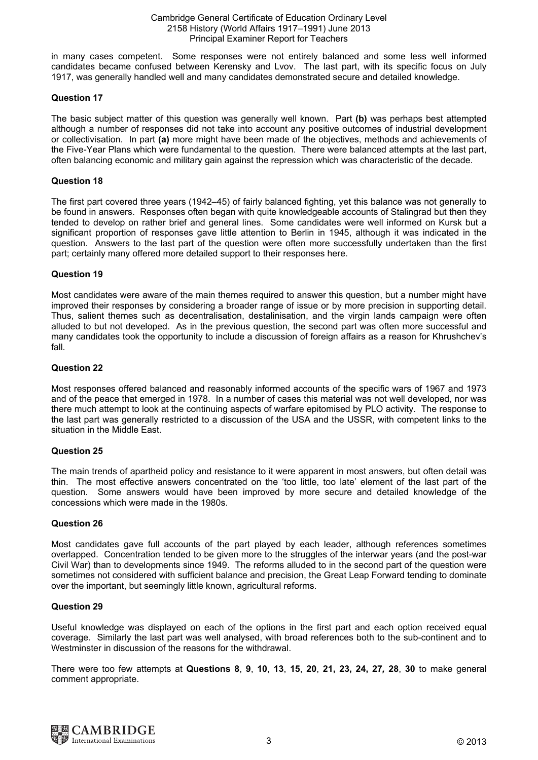in many cases competent. Some responses were not entirely balanced and some less well informed candidates became confused between Kerensky and Lvov. The last part, with its specific focus on July 1917, was generally handled well and many candidates demonstrated secure and detailed knowledge.

## **Question 17**

The basic subject matter of this question was generally well known. Part **(b)** was perhaps best attempted although a number of responses did not take into account any positive outcomes of industrial development or collectivisation. In part **(a)** more might have been made of the objectives, methods and achievements of the Five-Year Plans which were fundamental to the question. There were balanced attempts at the last part, often balancing economic and military gain against the repression which was characteristic of the decade.

## **Question 18**

The first part covered three years (1942–45) of fairly balanced fighting, yet this balance was not generally to be found in answers. Responses often began with quite knowledgeable accounts of Stalingrad but then they tended to develop on rather brief and general lines. Some candidates were well informed on Kursk but a significant proportion of responses gave little attention to Berlin in 1945, although it was indicated in the question. Answers to the last part of the question were often more successfully undertaken than the first part; certainly many offered more detailed support to their responses here.

## **Question 19**

Most candidates were aware of the main themes required to answer this question, but a number might have improved their responses by considering a broader range of issue or by more precision in supporting detail. Thus, salient themes such as decentralisation, destalinisation, and the virgin lands campaign were often alluded to but not developed. As in the previous question, the second part was often more successful and many candidates took the opportunity to include a discussion of foreign affairs as a reason for Khrushchev's fall.

#### **Question 22**

Most responses offered balanced and reasonably informed accounts of the specific wars of 1967 and 1973 and of the peace that emerged in 1978. In a number of cases this material was not well developed, nor was there much attempt to look at the continuing aspects of warfare epitomised by PLO activity. The response to the last part was generally restricted to a discussion of the USA and the USSR, with competent links to the situation in the Middle East.

# **Question 25**

The main trends of apartheid policy and resistance to it were apparent in most answers, but often detail was thin. The most effective answers concentrated on the 'too little, too late' element of the last part of the question. Some answers would have been improved by more secure and detailed knowledge of the concessions which were made in the 1980s.

#### **Question 26**

Most candidates gave full accounts of the part played by each leader, although references sometimes overlapped. Concentration tended to be given more to the struggles of the interwar years (and the post-war Civil War) than to developments since 1949. The reforms alluded to in the second part of the question were sometimes not considered with sufficient balance and precision, the Great Leap Forward tending to dominate over the important, but seemingly little known, agricultural reforms.

#### **Question 29**

Useful knowledge was displayed on each of the options in the first part and each option received equal coverage. Similarly the last part was well analysed, with broad references both to the sub-continent and to Westminster in discussion of the reasons for the withdrawal.

There were too few attempts at **Questions 8**, **9**, **10**, **13**, **15**, **20**, **21, 23, 24, 27***,* **28**, **30** to make general comment appropriate.

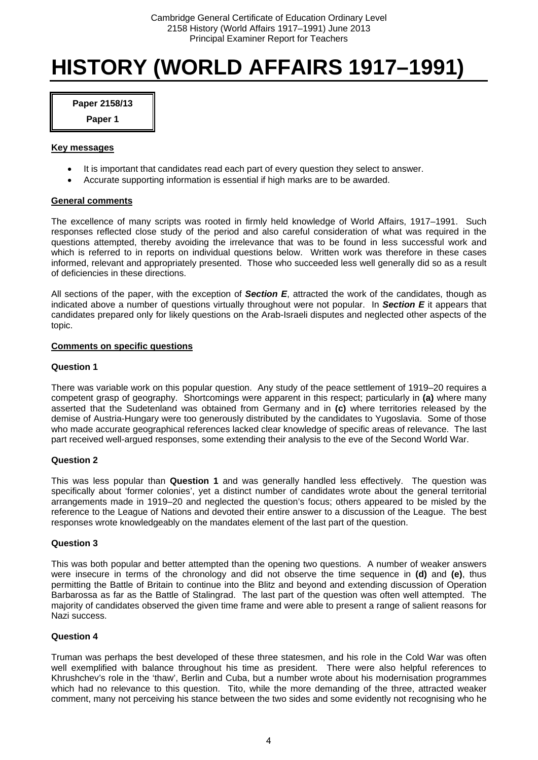# **HISTORY (WORLD AFFAIRS 1917–1991)**

**Paper 2158/13** 

**Paper 1** 

## **Key messages**

- It is important that candidates read each part of every question they select to answer.
- Accurate supporting information is essential if high marks are to be awarded.

# **General comments**

The excellence of many scripts was rooted in firmly held knowledge of World Affairs, 1917–1991. Such responses reflected close study of the period and also careful consideration of what was required in the questions attempted, thereby avoiding the irrelevance that was to be found in less successful work and which is referred to in reports on individual questions below. Written work was therefore in these cases informed, relevant and appropriately presented. Those who succeeded less well generally did so as a result of deficiencies in these directions.

All sections of the paper, with the exception of *Section E*, attracted the work of the candidates, though as indicated above a number of questions virtually throughout were not popular. In *Section E* it appears that candidates prepared only for likely questions on the Arab-Israeli disputes and neglected other aspects of the topic.

# **Comments on specific questions**

# **Question 1**

There was variable work on this popular question. Any study of the peace settlement of 1919–20 requires a competent grasp of geography. Shortcomings were apparent in this respect; particularly in **(a)** where many asserted that the Sudetenland was obtained from Germany and in **(c)** where territories released by the demise of Austria-Hungary were too generously distributed by the candidates to Yugoslavia. Some of those who made accurate geographical references lacked clear knowledge of specific areas of relevance. The last part received well-argued responses, some extending their analysis to the eve of the Second World War.

# **Question 2**

This was less popular than **Question 1** and was generally handled less effectively. The question was specifically about 'former colonies', yet a distinct number of candidates wrote about the general territorial arrangements made in 1919–20 and neglected the question's focus; others appeared to be misled by the reference to the League of Nations and devoted their entire answer to a discussion of the League. The best responses wrote knowledgeably on the mandates element of the last part of the question.

# **Question 3**

This was both popular and better attempted than the opening two questions. A number of weaker answers were insecure in terms of the chronology and did not observe the time sequence in **(d)** and **(e)**, thus permitting the Battle of Britain to continue into the Blitz and beyond and extending discussion of Operation Barbarossa as far as the Battle of Stalingrad. The last part of the question was often well attempted. The majority of candidates observed the given time frame and were able to present a range of salient reasons for Nazi success.

# **Question 4**

Truman was perhaps the best developed of these three statesmen, and his role in the Cold War was often well exemplified with balance throughout his time as president. There were also helpful references to Khrushchev's role in the 'thaw', Berlin and Cuba, but a number wrote about his modernisation programmes which had no relevance to this question. Tito, while the more demanding of the three, attracted weaker comment, many not perceiving his stance between the two sides and some evidently not recognising who he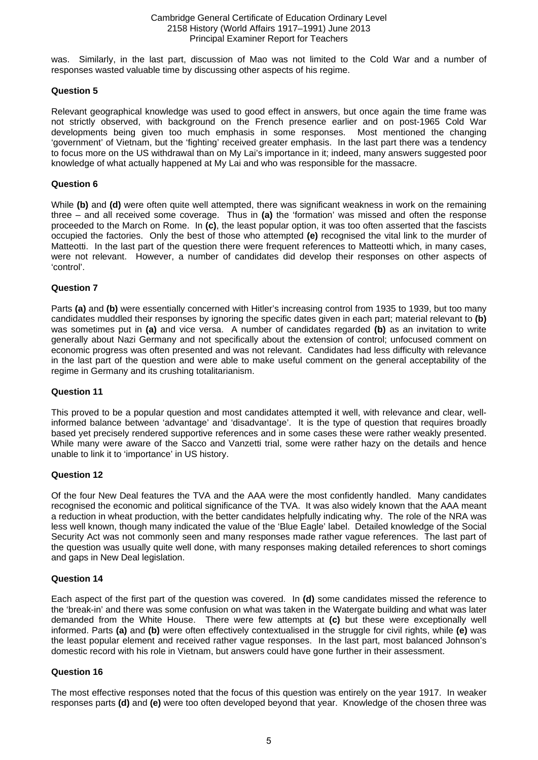was. Similarly, in the last part, discussion of Mao was not limited to the Cold War and a number of responses wasted valuable time by discussing other aspects of his regime.

## **Question 5**

Relevant geographical knowledge was used to good effect in answers, but once again the time frame was not strictly observed, with background on the French presence earlier and on post-1965 Cold War developments being given too much emphasis in some responses. Most mentioned the changing 'government' of Vietnam, but the 'fighting' received greater emphasis. In the last part there was a tendency to focus more on the US withdrawal than on My Lai's importance in it; indeed, many answers suggested poor knowledge of what actually happened at My Lai and who was responsible for the massacre.

## **Question 6**

While **(b)** and **(d)** were often quite well attempted, there was significant weakness in work on the remaining three – and all received some coverage. Thus in **(a)** the 'formation' was missed and often the response proceeded to the March on Rome. In **(c)**, the least popular option, it was too often asserted that the fascists occupied the factories. Only the best of those who attempted **(e)** recognised the vital link to the murder of Matteotti. In the last part of the question there were frequent references to Matteotti which, in many cases, were not relevant. However, a number of candidates did develop their responses on other aspects of 'control'.

## **Question 7**

Parts **(a)** and **(b)** were essentially concerned with Hitler's increasing control from 1935 to 1939, but too many candidates muddled their responses by ignoring the specific dates given in each part; material relevant to **(b)** was sometimes put in **(a)** and vice versa. A number of candidates regarded **(b)** as an invitation to write generally about Nazi Germany and not specifically about the extension of control; unfocused comment on economic progress was often presented and was not relevant. Candidates had less difficulty with relevance in the last part of the question and were able to make useful comment on the general acceptability of the regime in Germany and its crushing totalitarianism.

#### **Question 11**

This proved to be a popular question and most candidates attempted it well, with relevance and clear, wellinformed balance between 'advantage' and 'disadvantage'. It is the type of question that requires broadly based yet precisely rendered supportive references and in some cases these were rather weakly presented. While many were aware of the Sacco and Vanzetti trial, some were rather hazy on the details and hence unable to link it to 'importance' in US history.

#### **Question 12**

Of the four New Deal features the TVA and the AAA were the most confidently handled. Many candidates recognised the economic and political significance of the TVA. It was also widely known that the AAA meant a reduction in wheat production, with the better candidates helpfully indicating why. The role of the NRA was less well known, though many indicated the value of the 'Blue Eagle' label. Detailed knowledge of the Social Security Act was not commonly seen and many responses made rather vague references. The last part of the question was usually quite well done, with many responses making detailed references to short comings and gaps in New Deal legislation.

#### **Question 14**

Each aspect of the first part of the question was covered. In **(d)** some candidates missed the reference to the 'break-in' and there was some confusion on what was taken in the Watergate building and what was later demanded from the White House. There were few attempts at **(c)** but these were exceptionally well informed. Parts **(a)** and **(b)** were often effectively contextualised in the struggle for civil rights, while **(e)** was the least popular element and received rather vague responses. In the last part, most balanced Johnson's domestic record with his role in Vietnam, but answers could have gone further in their assessment.

# **Question 16**

The most effective responses noted that the focus of this question was entirely on the year 1917. In weaker responses parts **(d)** and **(e)** were too often developed beyond that year. Knowledge of the chosen three was